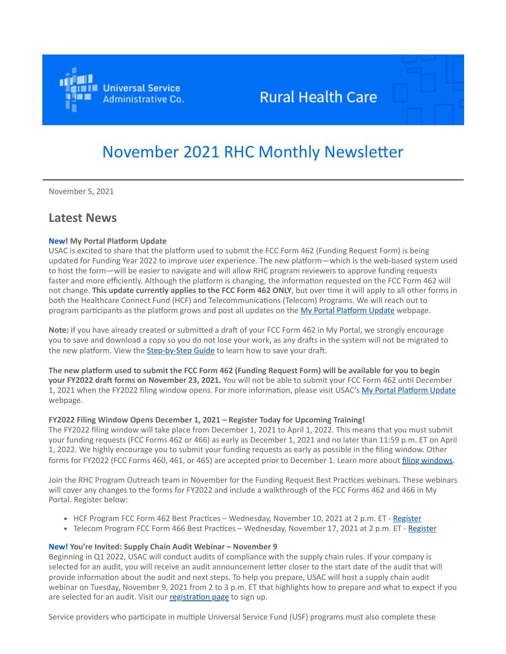

# **Rural Health Care**

# November 2021 RHC Monthly Newsletter

November 5, 2021

# **Latest News**

# **New! My Portal Platform Update**

USAC is excited to share that the platform used to submit the FCC Form 462 (Funding Request Form) is being updated for Funding Year 2022 to improve user experience. The new platform—which is the web-based system used to host the form—will be easier to navigate and will allow RHC program reviewers to approve funding requests faster and more efficiently. Although the platform is changing, the information requested on the FCC Form 462 will not change. **This update currently applies to the FCC Form 462 ONLY**, but over time it will apply to all other forms in both the Healthcare Connect Fund (HCF) and Telecommunications (Telecom) Programs. We will reach out to program participants as the platform grows and post all updates on the [My Portal Platform Update](https://click.outreach.usac.org/?qs=56d24e8137a7783d4e3805d0c267a5bf76ce2f3803f5bebd250b7000967fd18d8e813ac74fa3079764d20740fe7ca135865813a838b596af) webpage.

**Note:** If you have already created or submitted a draft of your FCC Form 462 in My Portal, we strongly encourage you to save and download a copy so you do not lose your work, as any drafts in the system will not be migrated to the new platform. View the **[Step-by-Step Guide](https://click.outreach.usac.org/?qs=56d24e8137a7783d02bf2c9e3e78cc895aaf4802b3f3af648fa019718353f86470460a5508411e695f1a5ee56e96266b970bbbf3d23d194e)** to learn how to save your draft.

**The new platform used to submit the FCC Form 462 (Funding Request Form) will be available for you to begin your FY2022 draft forms on November 23, 2021.** You will not be able to submit your FCC Form 462 until December 1, 2021 when the FY2022 filing window opens. For more information, please visit USAC's [My Portal Platform Update](https://click.outreach.usac.org/?qs=56d24e8137a7783d4e3805d0c267a5bf76ce2f3803f5bebd250b7000967fd18d8e813ac74fa3079764d20740fe7ca135865813a838b596af) webpage.

### **FY2022 Filing Window Opens December 1, 2021 – Register Today for Upcoming Training!**

The FY2022 filing window will take place from December 1, 2021 to April 1, 2022. This means that you must submit your funding requests (FCC Forms 462 or 466) as early as December 1, 2021 and no later than 11:59 p.m. ET on April 1, 2022. We highly encourage you to submit your funding requests as early as possible in the filing window. Other forms for FY2022 (FCC Forms 460, 461, or 465) are accepted prior to December 1. Learn more about [filing windows.](https://click.outreach.usac.org/?qs=56d24e8137a7783d8702fb043ce1220deca35cec9a6cc2988805f256c190e641dd7c17490b8dbb662e4f80c85d2719e3dca7b4f74c498dee)

Join the RHC Program Outreach team in November for the Funding Request Best Practices webinars. These webinars will cover any changes to the forms for FY2022 and include a walkthrough of the FCC Forms 462 and 466 in My Portal. Register below:

- HCF Program FCC Form 462 Best Practices Wednesday, November 10, 2021 at 2 p.m. ET [Register](https://click.outreach.usac.org/?qs=56d24e8137a7783d8363418c61ec1d85d61ecd75fcb8d7d45ac1b0b6eaf79bf39cf11d233011a4d553d3acb90521c10003d91204bcbae2b4)
- Telecom Program FCC Form 466 Best Practices Wednesday, November 17, 2021 at 2 p.m. ET [Register](https://click.outreach.usac.org/?qs=56d24e8137a7783d964e58154a3da55d4a5d3dc2c229209b5d721171ff05decbfb145ff66e742d61adc50e4d1fc0f6c7ebdb2ec95a38af58)

### **New! You're Invited: Supply Chain Audit Webinar – November 9**

Beginning in Q1 2022, USAC will conduct audits of compliance with the supply chain rules. If your company is selected for an audit, you will receive an audit announcement letter closer to the start date of the audit that will provide information about the audit and next steps. To help you prepare, USAC will host a supply chain audit webinar on Tuesday, November 9, 2021 from 2 to 3 p.m. ET that highlights how to prepare and what to expect if you are selected for an audit. Visit our [registration page](https://click.outreach.usac.org/?qs=56d24e8137a7783dc551754d01d5618b5e428874e66e1e53dfbacbaa331066f3650c2aa2eb4a7e8afe41668d6a4751732e5b28c99064b337) to sign up.

Service providers who participate in multiple Universal Service Fund (USF) programs must also complete these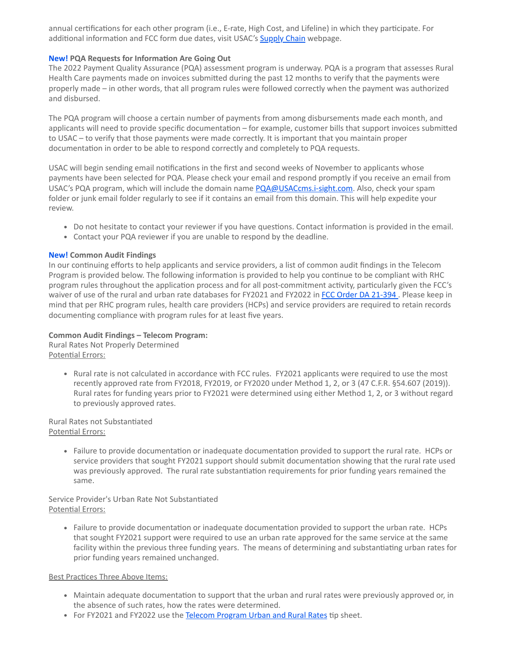annual certifications for each other program (i.e., E-rate, High Cost, and Lifeline) in which they participate. For additional information and FCC form due dates, visit USAC's **[Supply Chain](https://click.outreach.usac.org/?qs=56d24e8137a7783d0bfe307a90d988989dc1c1b36d003419adae9e092786bb3ea321c6fa650625513a36e6931542c7550f6b247867954aa2)** webpage.

# **New! PQA Requests for Information Are Going Out**

The 2022 Payment Quality Assurance (PQA) assessment program is underway. PQA is a program that assesses Rural Health Care payments made on invoices submitted during the past 12 months to verify that the payments were properly made – in other words, that all program rules were followed correctly when the payment was authorized and disbursed.

The PQA program will choose a certain number of payments from among disbursements made each month, and applicants will need to provide specific documentation – for example, customer bills that support invoices submitted to USAC – to verify that those payments were made correctly. It is important that you maintain proper documentation in order to be able to respond correctly and completely to PQA requests.

USAC will begin sending email notifications in the first and second weeks of November to applicants whose payments have been selected for PQA. Please check your email and respond promptly if you receive an email from USAC's PQA program, which will include the domain name [PQA@USACcms.i-sight.com.](mailto:PQA@USACcms.i-sight.com?subject=) Also, check your spam folder or junk email folder regularly to see if it contains an email from this domain. This will help expedite your review.

- Do not hesitate to contact your reviewer if you have questions. Contact information is provided in the email.
- Contact your PQA reviewer if you are unable to respond by the deadline.

# **New! Common Audit Findings**

In our continuing efforts to help applicants and service providers, a list of common audit findings in the Telecom Program is provided below. The following information is provided to help you continue to be compliant with RHC program rules throughout the application process and for all post-commitment activity, particularly given the FCC's waiver of use of the rural and urban rate databases for FY2021 and FY2022 in [FCC Order DA 21-394](https://click.outreach.usac.org/?qs=56d24e8137a7783de2659fdb15c2b0bfbf9a6d95fd963ffe7d3f3d90d3f2e147a06fa1e9b14e967ee518d38198df322bb0bd34100043377e). Please keep in mind that per RHC program rules, health care providers (HCPs) and service providers are required to retain records documenting compliance with program rules for at least five years.

# **Common Audit Findings – Telecom Program:**

Rural Rates Not Properly Determined Potential Errors:

> Rural rate is not calculated in accordance with FCC rules. FY2021 applicants were required to use the most recently approved rate from FY2018, FY2019, or FY2020 under Method 1, 2, or 3 (47 C.F.R. §54.607 (2019)). Rural rates for funding years prior to FY2021 were determined using either Method 1, 2, or 3 without regard to previously approved rates.

### Rural Rates not Substantiated Potential Errors:

Failure to provide documentation or inadequate documentation provided to support the rural rate. HCPs or service providers that sought FY2021 support should submit documentation showing that the rural rate used was previously approved. The rural rate substantiation requirements for prior funding years remained the same.

### Service Provider's Urban Rate Not Substantiated Potential Errors:

Failure to provide documentation or inadequate documentation provided to support the urban rate. HCPs that sought FY2021 support were required to use an urban rate approved for the same service at the same facility within the previous three funding years. The means of determining and substantiating urban rates for prior funding years remained unchanged.

# Best Practices Three Above Items:

- Maintain adequate documentation to support that the urban and rural rates were previously approved or, in the absence of such rates, how the rates were determined.
- For FY2021 and FY2022 use the [Telecom Program Urban and Rural Rates](https://click.outreach.usac.org/?qs=56d24e8137a7783db700206d4384f969a78916728f33d0538f9e1ab7ca20e5c70ce04a393af22434eab3bc093a8a6964adf5cda449045765) tip sheet.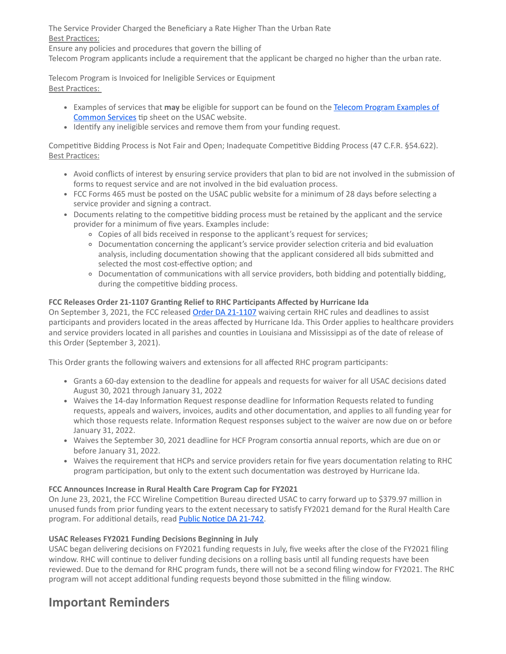The Service Provider Charged the Beneficiary a Rate Higher Than the Urban Rate Best Practices:

Ensure any policies and procedures that govern the billing of

Telecom Program applicants include a requirement that the applicant be charged no higher than the urban rate.

Telecom Program is Invoiced for Ineligible Services or Equipment Best Practices:

- Examples of services that **may** [be eligible for support can be found on the Telecom Program Examples of](https://click.outreach.usac.org/?qs=56d24e8137a7783d5cd5146ed180adbc6c6c8e4b9e21b57b79be6ccf4d7d77be297453ea4a90763d484b7c29ea558260a78879ed6f5774ee) Common Services tip sheet on the USAC website.
- Identify any ineligible services and remove them from your funding request.

Competitive Bidding Process is Not Fair and Open; Inadequate Competitive Bidding Process (47 C.F.R. §54.622). Best Practices:

- Avoid conflicts of interest by ensuring service providers that plan to bid are not involved in the submission of forms to request service and are not involved in the bid evaluation process.
- FCC Forms 465 must be posted on the USAC public website for a minimum of 28 days before selecting a service provider and signing a contract.
- Documents relating to the competitive bidding process must be retained by the applicant and the service provider for a minimum of five years. Examples include:
	- Copies of all bids received in response to the applicant's request for services;
	- Documentation concerning the applicant's service provider selection criteria and bid evaluation analysis, including documentation showing that the applicant considered all bids submitted and selected the most cost-effective option; and
	- Documentation of communications with all service providers, both bidding and potentially bidding, during the competitive bidding process.

# **FCC Releases Order 21-1107 Granting Relief to RHC Participants Affected by Hurricane Ida**

On September 3, 2021, the FCC released [Order DA 21-1107](https://click.outreach.usac.org/?qs=56d24e8137a7783d2dcc61a502a82fba86c7613dddedf12224ea231ab7c48ae02387d6bfe91c5b9ae5dcbc72330ee54713b46c21a875641f) waiving certain RHC rules and deadlines to assist participants and providers located in the areas affected by Hurricane Ida. This Order applies to healthcare providers and service providers located in all parishes and counties in Louisiana and Mississippi as of the date of release of this Order (September 3, 2021).

This Order grants the following waivers and extensions for all affected RHC program participants:

- Grants a 60-day extension to the deadline for appeals and requests for waiver for all USAC decisions dated August 30, 2021 through January 31, 2022
- Waives the 14-day Information Request response deadline for Information Requests related to funding requests, appeals and waivers, invoices, audits and other documentation, and applies to all funding year for which those requests relate. Information Request responses subject to the waiver are now due on or before January 31, 2022.
- Waives the September 30, 2021 deadline for HCF Program consortia annual reports, which are due on or before January 31, 2022.
- Waives the requirement that HCPs and service providers retain for five years documentation relating to RHC program participation, but only to the extent such documentation was destroyed by Hurricane Ida.

# **FCC Announces Increase in Rural Health Care Program Cap for FY2021**

On June 23, 2021, the FCC Wireline Competition Bureau directed USAC to carry forward up to \$379.97 million in unused funds from prior funding years to the extent necessary to satisfy FY2021 demand for the Rural Health Care program. For additional details, read [Public Notice DA 21-742](https://click.outreach.usac.org/?qs=56d24e8137a7783d3b703c8d929a441605aab76304115dc977c656b80401edbc903823457548804a601767868e8bbf7970c934840cc51427).

# **USAC Releases FY2021 Funding Decisions Beginning in July**

USAC began delivering decisions on FY2021 funding requests in July, five weeks after the close of the FY2021 filing window. RHC will continue to deliver funding decisions on a rolling basis until all funding requests have been reviewed. Due to the demand for RHC program funds, there will not be a second filing window for FY2021. The RHC program will not accept additional funding requests beyond those submitted in the filing window.

# **Important Reminders**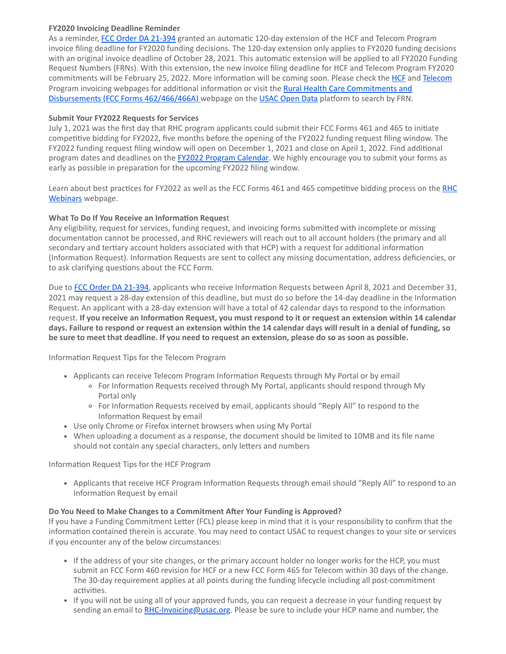# **FY2020 Invoicing Deadline Reminder**

As a reminder, [FCC Order DA 21-394](https://click.outreach.usac.org/?qs=56d24e8137a7783dfa40aed1ec24f69ebdbf93d4bf12c3d60cf7396d6a3d21e50750d7b8fef00964d1145a90741f8e1d768f929cb3aa5a61) granted an automatic 120-day extension of the HCF and Telecom Program invoice filing deadline for FY2020 funding decisions. The 120-day extension only applies to FY2020 funding decisions with an original invoice deadline of October 28, 2021. This automatic extension will be applied to all FY2020 Funding Request Numbers (FRNs). With this extension, the new invoice filing deadline for HCF and Telecom Program FY2020 commitments will be February 25, 2022. More information will be coming soon. Please check the [HCF](https://click.outreach.usac.org/?qs=56d24e8137a7783dbe0f61b1bd19ffb8065b8977aa6437644e759db34b873406ab14d16bd6a4857491a31d6ba3cd4c32cc6d609755afbb61) and [Telecom](https://click.outreach.usac.org/?qs=56d24e8137a7783d378d56df71d3f57a38bcaaa85d4128ecb18377c9cf1c839bdbf2b37e739db36159568f2ec1c7c86b0eca33d9b27666f3) [Program invoicing webpages for additional information or visit the](https://click.outreach.usac.org/?qs=56d24e8137a7783d96c19e4289184e688332e8fb2b3f73ae733b4b190534c6183678c8981be4f156a8d5958f42f5e169b683b7b423b7bbab) Rural Health Care Commitments and Disbursements (FCC Forms 462/466/466A) webpage on the [USAC Open Data](https://click.outreach.usac.org/?qs=56d24e8137a7783da8ab670767d3efd3dfd05d170942ea08caf34aa61441f0a2c204d6de1bbd39889197e6b889daec081c09ffc2f813192d) platform to search by FRN.

# **Submit Your FY2022 Requests for Services**

July 1, 2021 was the first day that RHC program applicants could submit their FCC Forms 461 and 465 to initiate competitive bidding for FY2022, five months before the opening of the FY2022 funding request filing window. The FY2022 funding request filing window will open on December 1, 2021 and close on April 1, 2022. Find additional program dates and deadlines on the **[FY2022 Program Calendar](https://click.outreach.usac.org/?qs=56d24e8137a7783dd1105ae2be8c715ab35a51488930c2adc90457833901cab922bf082993a95e6ce734ebb36dcf4fca8bf77bcde080ef1e)**. We highly encourage you to submit your forms as early as possible in preparation for the upcoming FY2022 filing window.

[Learn about best practices for FY2022 as well as the FCC Forms 461 and 465 competitive bidding process on the RHC](https://click.outreach.usac.org/?qs=56d24e8137a7783dfedae9d773ef29a4a3b508730b4f55f3152cecca0041a71455656866abf380e6626724ab1e500141cb31f6c5ddcd576c) Webinars webpage.

# **What To Do If You Receive an Information Reques**t

Any eligibility, request for services, funding request, and invoicing forms submitted with incomplete or missing documentation cannot be processed, and RHC reviewers will reach out to all account holders (the primary and all secondary and tertiary account holders associated with that HCP) with a request for additional information (Information Request). Information Requests are sent to collect any missing documentation, address deficiencies, or to ask clarifying questions about the FCC Form.

Due to **[FCC Order DA 21-394](https://click.outreach.usac.org/?qs=56d24e8137a7783dfa40aed1ec24f69ebdbf93d4bf12c3d60cf7396d6a3d21e50750d7b8fef00964d1145a90741f8e1d768f929cb3aa5a61)**, applicants who receive Information Requests between April 8, 2021 and December 31, 2021 may request a 28-day extension of this deadline, but must do so before the 14-day deadline in the Information Request. An applicant with a 28-day extension will have a total of 42 calendar days to respond to the information request. **If you receive an Information Request, you must respond to it or request an extension within 14 calendar days. Failure to respond or request an extension within the 14 calendar days will result in a denial of funding, so be sure to meet that deadline. If you need to request an extension, please do so as soon as possible.**

Information Request Tips for the Telecom Program

- Applicants can receive Telecom Program Information Requests through My Portal or by email
	- For Information Requests received through My Portal, applicants should respond through My Portal only
	- For Information Requests received by email, applicants should "Reply All" to respond to the Information Request by email
- Use only Chrome or Firefox internet browsers when using My Portal
- When uploading a document as a response, the document should be limited to 10MB and its file name should not contain any special characters, only letters and numbers

Information Request Tips for the HCF Program

Applicants that receive HCF Program Information Requests through email should "Reply All" to respond to an Information Request by email

### **Do You Need to Make Changes to a Commitment After Your Funding is Approved?**

If you have a Funding Commitment Letter (FCL) please keep in mind that it is your responsibility to confirm that the information contained therein is accurate. You may need to contact USAC to request changes to your site or services if you encounter any of the below circumstances:

- If the address of your site changes, or the primary account holder no longer works for the HCP, you must submit an FCC Form 460 revision for HCF or a new FCC Form 465 for Telecom within 30 days of the change. The 30-day requirement applies at all points during the funding lifecycle including all post-commitment activities.
- If you will not be using all of your approved funds, you can request a decrease in your funding request by sending an email to [RHC-Invoicing@usac.org.](mailto:RHC-Invoicing@usac.org?subject=) Please be sure to include your HCP name and number, the